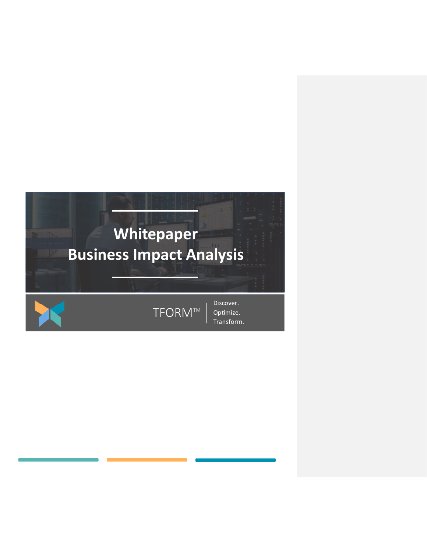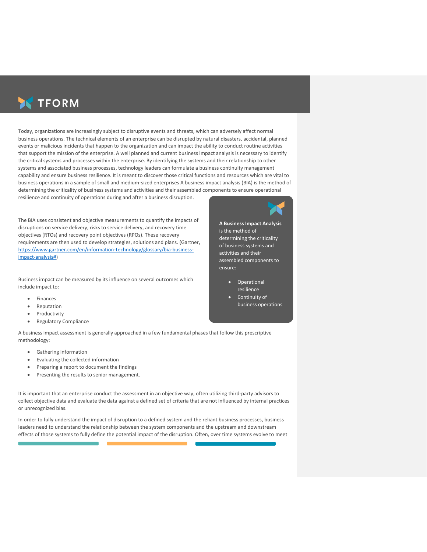

Today, organizations are increasingly subject to disruptive events and threats, which can adversely affect normal business operations. The technical elements of an enterprise can be disrupted by natural disasters, accidental, planned events or malicious incidents that happen to the organization and can impact the ability to conduct routine activities that support the mission of the enterprise. A well planned and current business impact analysis is necessary to identify the critical systems and processes within the enterprise. By identifying the systems and their relationship to other systems and associated business processes, technology leaders can formulate a business continuity management capability and ensure business resilience. It is meant to discover those critical functions and resources which are vital to business operations in a sample of small and medium-sized enterprises A business impact analysis (BIA) is the method of determining the criticality of business systems and activities and their assembled components to ensure operational resilience and continuity of operations during and after a business disruption.

The BIA uses consistent and objective measurements to quantify the impacts of disruptions on service delivery, risks to service delivery, and recovery time objectives (RTOs) and recovery point objectives (RPOs). These recovery requirements are then used to develop strategies, solutions and plans. (Gartner, [https://www.gartner.com/en/information-technology/glossary/bia-business](https://www.gartner.com/en/information-technology/glossary/bia-business-impact-analysis)[impact-analysis#\)](https://www.gartner.com/en/information-technology/glossary/bia-business-impact-analysis)

Business impact can be measured by its influence on several outcomes which include impact to:

- Finances
- Reputation
- Productivity
- Regulatory Compliance

A business impact assessment is generally approached in a few fundamental phases that follow this prescriptive methodology:

- Gathering information
- Evaluating the collected information
- Preparing a report to document the findings
- Presenting the results to senior management.

It is important that an enterprise conduct the assessment in an objective way, often utilizing third-party advisors to collect objective data and evaluate the data against a defined set of criteria that are not influenced by internal practices or unrecognized bias.

In order to fully understand the impact of disruption to a defined system and the reliant business processes, business leaders need to understand the relationship between the system components and the upstream and downstream effects of those systems to fully define the potential impact of the disruption. Often, over time systems evolve to meet

**A Business Impact Analysis** is the method of determining the criticality of business systems and activities and their assembled components to ensure:

- Operational resilience
- Continuity of business operations